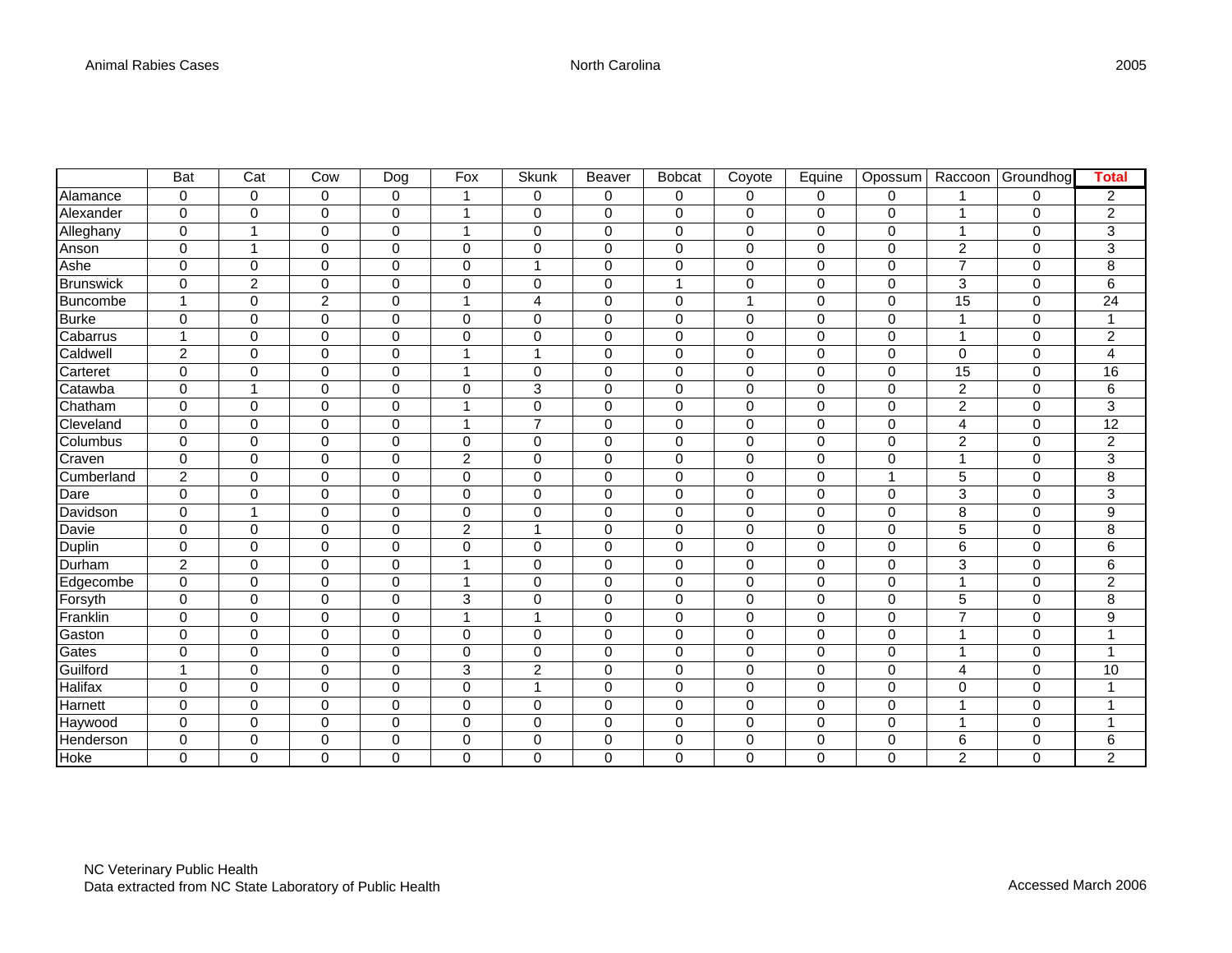|                  | <b>Bat</b>     | $\overline{\text{Cat}}$ | Cow            | Dog         | Fox            | Skunk          | Beaver       | <b>Bobcat</b> | Coyote         | Equine       | Opossum        | Raccoon         | Groundhog   | <b>Total</b>              |
|------------------|----------------|-------------------------|----------------|-------------|----------------|----------------|--------------|---------------|----------------|--------------|----------------|-----------------|-------------|---------------------------|
| Alamance         | $\mathbf 0$    | $\mathbf 0$             | 0              | $\mathbf 0$ | 1              | 0              | $\mathbf 0$  | 0             | $\mathbf 0$    | 0            | $\mathbf 0$    |                 | 0           | $\overline{c}$            |
| Alexander        | $\mathbf 0$    | 0                       | 0              | $\mathbf 0$ | 1              | 0              | 0            | 0             | $\mathbf 0$    | 0            | 0              | 1               | 0           | 2                         |
| Alleghany        | $\mathbf 0$    | $\overline{1}$          | $\mathbf 0$    | $\mathbf 0$ | 1              | $\mathbf 0$    | $\Omega$     | $\mathbf 0$   | $\Omega$       | 0            | $\mathbf 0$    | 1               | $\mathbf 0$ | 3                         |
| Anson            | $\mathbf 0$    | $\mathbf{1}$            | $\mathbf 0$    | $\mathbf 0$ | $\mathbf 0$    | $\mathbf 0$    | $\mathbf 0$  | $\mathbf 0$   | $\mathbf 0$    | 0            | $\mathbf 0$    | $\overline{c}$  | $\mathbf 0$ | $\ensuremath{\mathsf{3}}$ |
| Ashe             | $\mathbf 0$    | $\mathbf 0$             | $\mathbf 0$    | $\mathbf 0$ | $\mathbf 0$    | $\overline{1}$ | $\mathbf 0$  | $\mathbf 0$   | $\mathbf 0$    | 0            | $\mathbf 0$    | $\overline{7}$  | $\mathbf 0$ | 8                         |
| <b>Brunswick</b> | $\mathbf 0$    | $\overline{2}$          | $\mathbf 0$    | $\mathbf 0$ | $\mathbf 0$    | $\mathbf 0$    | $\mathbf{0}$ | 1             | $\mathbf 0$    | 0            | $\mathbf 0$    | 3               | $\mathbf 0$ | 6                         |
| Buncombe         | $\mathbf{1}$   | 0                       | $\overline{c}$ | $\mathbf 0$ | 1              | $\overline{4}$ | $\mathbf{0}$ | $\mathbf 0$   | $\overline{1}$ | 0            | $\mathbf 0$    | 15              | $\mathbf 0$ | 24                        |
| <b>Burke</b>     | $\mathbf 0$    | $\mathbf 0$             | $\mathbf 0$    | $\mathbf 0$ | $\mathbf 0$    | $\mathbf 0$    | $\mathbf 0$  | $\mathbf 0$   | $\mathbf 0$    | 0            | 0              |                 | $\mathbf 0$ | 1                         |
| Cabarrus         | 1              | $\Omega$                | $\mathbf 0$    | $\mathbf 0$ | $\mathbf 0$    | $\Omega$       | $\Omega$     | $\mathbf 0$   | $\Omega$       | 0            | $\mathbf 0$    |                 | $\mathbf 0$ | $\sqrt{2}$                |
| Caldwell         | $\overline{c}$ | $\mathbf 0$             | $\mathbf 0$    | $\mathbf 0$ | 1              | -1             | 0            | 0             | $\mathbf 0$    | 0            | $\mathbf 0$    | 0               | $\mathbf 0$ | $\overline{\mathbf{4}}$   |
| Carteret         | 0              | 0                       | $\mathbf 0$    | $\mathbf 0$ | 1              | $\mathbf 0$    | $\Omega$     | $\mathbf 0$   | $\mathbf 0$    | 0            | $\mathbf 0$    | $\overline{15}$ | $\Omega$    | $\overline{16}$           |
| Catawba          | 0              | $\overline{1}$          | $\mathbf 0$    | $\mathbf 0$ | $\mathbf 0$    | 3              | $\Omega$     | $\mathbf 0$   | $\mathbf 0$    | 0            | $\mathbf 0$    | $\overline{c}$  | $\mathbf 0$ | 6                         |
| Chatham          | 0              | $\mathbf 0$             | $\mathbf 0$    | 0           | 1              | 0              | $\mathbf 0$  | 0             | $\mathbf 0$    | 0            | 0              | $\overline{c}$  | $\mathbf 0$ | $\overline{3}$            |
| Cleveland        | $\mathbf 0$    | $\mathbf 0$             | $\pmb{0}$      | $\mathbf 0$ | 1              | $\overline{7}$ | $\mathbf 0$  | 0             | $\mathbf 0$    | 0            | 0              | 4               | 0           | $\overline{12}$           |
| Columbus         | $\mathbf 0$    | $\mathbf 0$             | $\mathbf 0$    | $\mathbf 0$ | $\mathbf 0$    | $\mathbf 0$    | $\mathbf 0$  | $\mathbf 0$   | $\mathbf 0$    | 0            | $\mathbf 0$    | $\overline{c}$  | $\mathbf 0$ | $\overline{c}$            |
| Craven           | $\mathbf 0$    | 0                       | $\mathbf 0$    | $\mathbf 0$ | $\overline{c}$ | $\Omega$       | $\Omega$     | $\mathbf 0$   | $\Omega$       | 0            | $\mathbf 0$    | 4               | $\Omega$    | 3                         |
| Cumberland       | $\overline{c}$ | 0                       | $\mathbf 0$    | $\mathbf 0$ | $\mathbf 0$    | $\mathbf 0$    | $\Omega$     | $\mathbf 0$   | $\mathbf 0$    | 0            | $\overline{1}$ | 5               | $\mathbf 0$ | 8                         |
| Dare             | $\mathbf 0$    | $\mathbf 0$             | $\mathbf 0$    | $\mathbf 0$ | $\mathbf 0$    | $\mathbf 0$    | $\Omega$     | $\mathbf 0$   | $\mathbf 0$    | 0            | $\mathbf 0$    | 3               | $\mathbf 0$ | 3                         |
| Davidson         | $\mathbf 0$    | $\overline{1}$          | $\mathbf 0$    | $\mathbf 0$ | $\mathbf 0$    | $\Omega$       | $\Omega$     | $\mathbf 0$   | $\Omega$       | 0            | $\mathbf 0$    | 8               | $\Omega$    | 9                         |
| Davie            | $\mathbf 0$    | $\Omega$                | $\mathbf 0$    | $\mathbf 0$ | $\overline{c}$ | $\mathbf 1$    | $\Omega$     | $\mathbf 0$   | $\Omega$       | 0            | $\mathbf 0$    | 5               | $\Omega$    | 8                         |
| Duplin           | $\mathsf 0$    | 0                       | $\mathbf 0$    | $\mathbf 0$ | $\mathbf 0$    | $\mathbf 0$    | $\mathbf 0$  | $\mathbf 0$   | $\mathbf 0$    | 0            | $\mathbf 0$    | 6               | $\Omega$    | 6                         |
| Durham           | $\overline{c}$ | 0                       | $\mathbf 0$    | $\mathbf 0$ | 1              | $\mathbf 0$    | $\Omega$     | $\mathbf 0$   | $\mathbf 0$    | 0            | $\mathbf 0$    | 3               | $\mathbf 0$ | 6                         |
| Edgecombe        | $\pmb{0}$      | $\mathbf 0$             | $\mathbf 0$    | $\pmb{0}$   | 1              | $\mathbf 0$    | $\mathbf 0$  | $\mathbf 0$   | $\mathbf 0$    | $\mathbf 0$  | $\mathbf 0$    | 1               | $\mathbf 0$ | $\overline{c}$            |
| Forsyth          | $\pmb{0}$      | $\mathbf 0$             | $\pmb{0}$      | $\mathbf 0$ | 3              | $\mathbf 0$    | $\mathbf 0$  | $\mathbf 0$   | $\mathbf 0$    | $\mathbf 0$  | $\mathbf 0$    | 5               | $\mathbf 0$ | $\overline{8}$            |
| Franklin         | $\mathbf 0$    | $\mathbf 0$             | $\mathbf 0$    | $\mathbf 0$ | 1              | $\overline{ }$ | 0            | $\mathbf 0$   | $\mathbf 0$    | 0            | 0              | $\overline{7}$  | $\mathbf 0$ | $\overline{9}$            |
| Gaston           | 0              | 0                       | $\mathbf 0$    | $\mathbf 0$ | $\mathbf 0$    | $\mathbf 0$    | 0            | $\mathbf 0$   | $\mathbf 0$    | 0            | $\mathbf 0$    | 1               | $\mathbf 0$ | $\overline{1}$            |
| Gates            | 0              | 0                       | 0              | 0           | 0              | 0              | $\Omega$     | 0             | $\mathbf 0$    | 0            | $\mathbf 0$    | 1               | 0           | $\mathbf{1}$              |
| Guilford         | $\mathbf{1}$   | $\mathbf 0$             | $\mathbf 0$    | $\mathbf 0$ | 3              | $\overline{c}$ | $\mathbf 0$  | $\mathbf 0$   | $\mathbf 0$    | 0            | $\mathbf 0$    | 4               | $\mathbf 0$ | 10                        |
| <b>Halifax</b>   | $\mathbf 0$    | 0                       | $\pmb{0}$      | $\mathbf 0$ | $\mathbf 0$    | 1              | $\mathbf 0$  | $\mathbf 0$   | $\mathbf 0$    | 0            | $\mathbf 0$    | 0               | 0           | $\mathbf 1$               |
| Harnett          | $\mathbf 0$    | $\mathbf 0$             | $\mathbf 0$    | $\mathbf 0$ | $\mathbf 0$    | $\mathbf 0$    | 0            | $\mathbf 0$   | $\mathbf 0$    | 0            | $\mathbf 0$    |                 | $\mathbf 0$ | $\overline{1}$            |
| Haywood          | 0              | 0                       | $\mathbf 0$    | $\mathbf 0$ | $\mathbf 0$    | $\mathbf 0$    | $\Omega$     | $\mathbf 0$   | $\mathbf 0$    | 0            | $\mathbf 0$    | 4               | $\Omega$    | 1                         |
| Henderson        | $\mathbf 0$    | 0                       | $\mathbf 0$    | $\mathbf 0$ | $\mathbf 0$    | $\Omega$       | $\Omega$     | $\mathbf 0$   | $\mathbf 0$    | 0            | $\mathbf 0$    | 6               | $\mathbf 0$ | 6                         |
| Hoke             | $\Omega$       | $\Omega$                | $\Omega$       | $\Omega$    | $\Omega$       | 0              | $\Omega$     | $\Omega$      | $\Omega$       | $\mathbf{0}$ | $\Omega$       | $\overline{2}$  | $\Omega$    | $\overline{2}$            |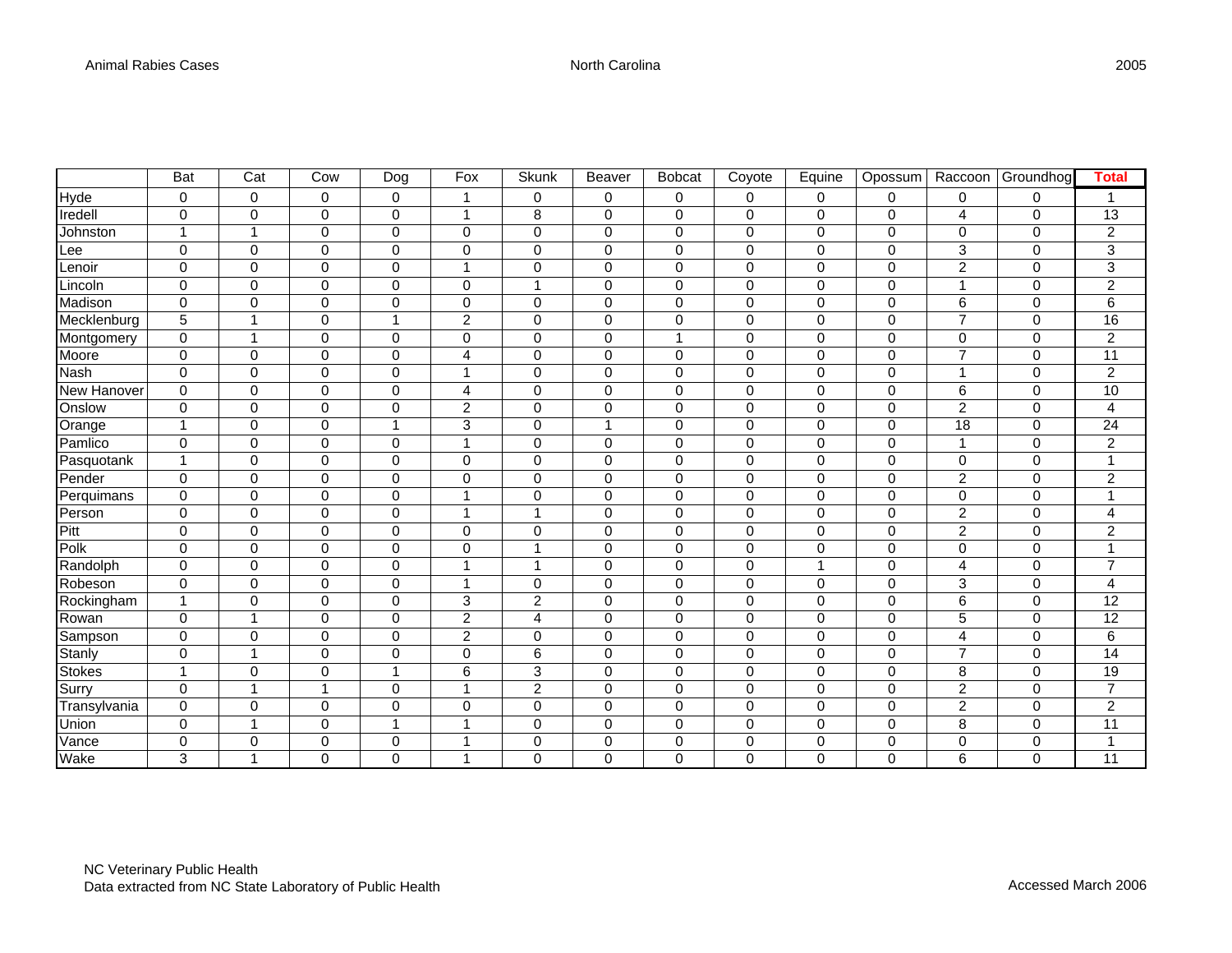|                    | <b>Bat</b>     | $\overline{Cat}$ | Cow          | Dog            | Fox            | <b>Skunk</b>   | Beaver   | <b>Bobcat</b>    | Coyote       | Equine       | Opossum     | Raccoon        | Groundhog   | <b>Total</b>            |
|--------------------|----------------|------------------|--------------|----------------|----------------|----------------|----------|------------------|--------------|--------------|-------------|----------------|-------------|-------------------------|
| Hyde               | $\mathbf 0$    | $\mathbf 0$      | $\mathbf 0$  | $\mathbf 0$    | 1              | 0              | 0        | $\mathbf 0$      | $\mathbf 0$  | 0            | $\mathbf 0$ | 0              | 0           | 1                       |
| Iredell            | $\mathbf 0$    | $\mathbf 0$      | $\mathsf 0$  | $\mathbf 0$    | $\overline{1}$ | 8              | 0        | $\mathbf 0$      | $\mathbf 0$  | $\mathsf 0$  | $\mathbf 0$ | 4              | 0           | 13                      |
| Johnston           | $\mathbf{1}$   | $\mathbf{1}$     | $\mathsf 0$  | $\mathbf 0$    | $\pmb{0}$      | $\mathbf 0$    | 0        | $\mathbf 0$      | $\mathbf 0$  | 0            | $\mathbf 0$ | 0              | 0           | $\overline{c}$          |
| _ee                | $\pmb{0}$      | $\mathbf 0$      | $\mathsf 0$  | $\mathbf 0$    | $\pmb{0}$      | $\mathbf 0$    | 0        | $\boldsymbol{0}$ | $\mathbf 0$  | 0            | $\pmb{0}$   | 3              | 0           | $\overline{3}$          |
| Lenoir             | $\mathbf 0$    | $\mathbf 0$      | 0            | $\mathbf 0$    | $\mathbf{1}$   | $\mathbf 0$    | 0        | 0                | $\mathbf 0$  | $\mathbf 0$  | $\mathbf 0$ | $\overline{c}$ | $\mathbf 0$ | $\overline{3}$          |
| Lincoln            | $\mathbf 0$    | $\mathbf 0$      | $\mathbf 0$  | 0              | $\mathbf 0$    |                | 0        | $\mathbf 0$      | 0            | $\mathbf 0$  | $\mathbf 0$ | $\mathbf{1}$   | $\mathbf 0$ | $\overline{2}$          |
| Madison            | $\mathbf 0$    | $\mathbf 0$      | 0            | $\mathbf 0$    | $\pmb{0}$      | $\mathbf 0$    | 0        | $\mathbf 0$      | $\mathbf 0$  | 0            | $\mathbf 0$ | 6              | $\mathbf 0$ | $\overline{6}$          |
| Mecklenburg        | 5              | $\mathbf{1}$     | 0            | 1              | $\overline{c}$ | 0              | 0        | $\pmb{0}$        | $\mathbf 0$  | $\mathbf 0$  | $\mathbf 0$ | $\overline{7}$ | 0           | $\overline{16}$         |
| Montgomery         | $\mathbf 0$    | $\mathbf{1}$     | 0            | $\mathbf 0$    | $\mathbf 0$    | $\mathbf 0$    | 0        | $\mathbf{1}$     | $\mathbf 0$  | 0            | $\mathbf 0$ | 0              | 0           | $\overline{2}$          |
| Moore              | $\mathbf 0$    | $\mathbf 0$      | 0            | 0              | 4              | 0              | 0        | 0                | $\mathbf 0$  | 0            | $\mathbf 0$ | $\overline{7}$ | $\mathbf 0$ | 11                      |
| <b>Nash</b>        | $\mathbf 0$    | 0                | $\mathbf 0$  | $\mathbf 0$    | 1              | 0              | 0        | $\mathbf 0$      | $\mathbf 0$  | 0            | $\mathbf 0$ | 1              | 0           | $\overline{c}$          |
| <b>New Hanover</b> | $\mathbf 0$    | $\mathbf 0$      | $\mathbf 0$  | $\mathbf 0$    | 4              | $\mathbf 0$    | 0        | $\mathbf 0$      | $\Omega$     | $\mathbf 0$  | $\mathbf 0$ | 6              | 0           | 10                      |
| Onslow             | $\mathbf 0$    | $\mathbf 0$      | $\mathbf 0$  | $\mathbf 0$    | $\overline{c}$ | $\Omega$       | 0        | $\mathbf 0$      | $\Omega$     | $\mathbf 0$  | $\mathbf 0$ | $\overline{c}$ | 0           | 4                       |
| Orange             | 1              | $\mathbf 0$      | $\mathbf 0$  | $\mathbf{1}$   | 3              | $\Omega$       | 1        | $\mathbf 0$      | $\mathbf 0$  | $\mathbf 0$  | $\mathbf 0$ | 18             | 0           | 24                      |
| Pamlico            | $\mathbf 0$    | $\mathbf 0$      | 0            | $\mathbf 0$    | 1              | $\mathbf 0$    | $\Omega$ | $\mathbf 0$      | $\mathbf 0$  | $\mathbf 0$  | $\mathbf 0$ | $\mathbf 1$    | $\mathbf 0$ | $\overline{2}$          |
| Pasquotank         | $\mathbf{1}$   | $\mathbf 0$      | $\mathbf 0$  | 0              | $\mathbf 0$    | 0              | 0        | $\mathbf 0$      | 0            | $\mathbf 0$  | $\mathbf 0$ | 0              | 0           | $\mathbf{1}$            |
| Pender             | $\mathbf 0$    | $\mathbf 0$      | $\mathbf 0$  | $\mathbf 0$    | $\mathbf 0$    | $\mathbf 0$    | 0        | $\mathbf 0$      | $\Omega$     | 0            | $\mathbf 0$ | $\overline{2}$ | 0           | $\overline{c}$          |
| Perquimans         | $\pmb{0}$      | $\mathbf 0$      | $\mathbf 0$  | 0              | $\overline{1}$ | 0              | 0        | $\mathbf 0$      | 0            | $\mathbf 0$  | $\mathbf 0$ | 0              | 0           | 1                       |
| Person             | $\mathbf 0$    | $\mathbf 0$      | $\pmb{0}$    | $\mathbf 0$    | 1              | 1              | 0        | $\mathbf 0$      | $\mathbf 0$  | 0            | $\mathbf 0$ | $\overline{c}$ | $\mathbf 0$ | $\overline{\mathbf{4}}$ |
| Pitt               | $\mathbf 0$    | $\mathbf 0$      | 0            | $\mathbf 0$    | $\mathbf 0$    | 0              | 0        | $\pmb{0}$        | $\mathbf 0$  | 0            | $\mathbf 0$ | $\overline{2}$ | $\mathbf 0$ | $\overline{2}$          |
| Polk               | $\mathbf 0$    | $\mathbf 0$      | $\mathbf 0$  | $\mathbf 0$    | $\mathbf 0$    | 1              | 0        | $\mathbf 0$      | 0            | $\mathbf 0$  | $\Omega$    | 0              | 0           | 1                       |
| Randolph           | $\mathbf 0$    | $\mathbf 0$      | 0            | $\mathbf 0$    | 1              | 1              | 0        | $\pmb{0}$        | $\mathbf 0$  | $\mathbf{1}$ | $\mathbf 0$ | 4              | 0           | $\overline{7}$          |
| Robeson            | $\pmb{0}$      | $\mathbf 0$      | $\pmb{0}$    | $\mathbf 0$    | $\mathbf{1}$   | $\mathbf 0$    | 0        | $\pmb{0}$        | $\mathbf 0$  | 0            | $\mathbf 0$ | 3              | 0           | 4                       |
| Rockingham         | $\mathbf{1}$   | 0                | $\mathbf 0$  | 0              | 3              | $\overline{c}$ | 0        | $\mathbf 0$      | 0            | 0            | $\mathbf 0$ | 6              | 0           | 12                      |
| Rowan              | $\mathbf 0$    | 1                | $\mathbf 0$  | $\mathbf 0$    | $\overline{c}$ | 4              | 0        | $\mathbf 0$      | $\mathbf 0$  | 0            | $\mathbf 0$ | 5              | $\mathbf 0$ | 12                      |
| Sampson            | $\mathbf 0$    | $\mathbf 0$      | $\mathbf 0$  | 0              | $\overline{c}$ | 0              | 0        | $\mathbf 0$      | $\mathbf 0$  | $\mathbf 0$  | $\mathbf 0$ | 4              | 0           | 6                       |
| Stanly             | $\mathbf 0$    | $\overline{1}$   | $\Omega$     | $\Omega$       | $\Omega$       | 6              | 0        | $\Omega$         | $\Omega$     | $\Omega$     | $\Omega$    | $\overline{7}$ | 0           | 14                      |
| <b>Stokes</b>      | $\overline{ }$ | $\mathbf 0$      | 0            | $\mathbf{1}$   | 6              | 3              | 0        | $\mathbf 0$      | $\mathbf 0$  | $\mathbf 0$  | $\mathbf 0$ | 8              | 0           | 19                      |
| Surry              | $\mathbf 0$    | $\mathbf{1}$     | $\mathbf{1}$ | $\mathbf 0$    | 1              | $\overline{c}$ | 0        | $\mathbf 0$      | $\Omega$     | $\mathbf 0$  | $\mathbf 0$ | $\overline{c}$ | 0           | $\overline{7}$          |
| Transylvania       | $\mathbf 0$    | $\mathbf 0$      | $\mathbf 0$  | $\mathbf 0$    | $\mathbf 0$    | $\mathbf 0$    | 0        | $\mathbf 0$      | $\Omega$     | $\mathbf 0$  | $\mathbf 0$ | $\overline{c}$ | $\mathbf 0$ | $\overline{c}$          |
| Union              | $\mathbf 0$    | $\mathbf{1}$     | $\mathbf 0$  | $\overline{1}$ | $\mathbf{1}$   | $\mathbf 0$    | 0        | $\mathbf 0$      | 0            | $\mathbf 0$  | $\mathbf 0$ | 8              | 0           | 11                      |
| Vance              | $\mathbf 0$    | 0                | $\mathbf 0$  | 0              | $\mathbf{1}$   | 0              | 0        | $\mathbf 0$      | $\mathbf 0$  | $\mathbf 0$  | $\mathbf 0$ | 0              | 0           | $\mathbf{1}$            |
| Wake               | 3              | 1                | $\Omega$     | $\Omega$       | 1              | $\Omega$       | $\Omega$ | $\Omega$         | $\mathbf{0}$ | $\Omega$     | $\Omega$    | 6              | $\Omega$    | 11                      |